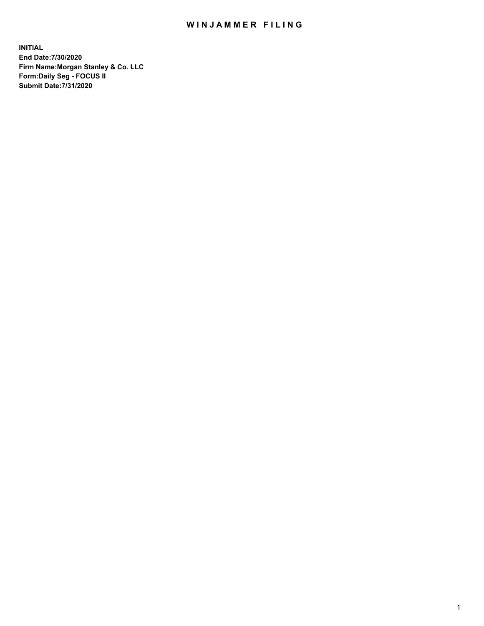## WIN JAMMER FILING

**INITIAL End Date:7/30/2020 Firm Name:Morgan Stanley & Co. LLC Form:Daily Seg - FOCUS II Submit Date:7/31/2020**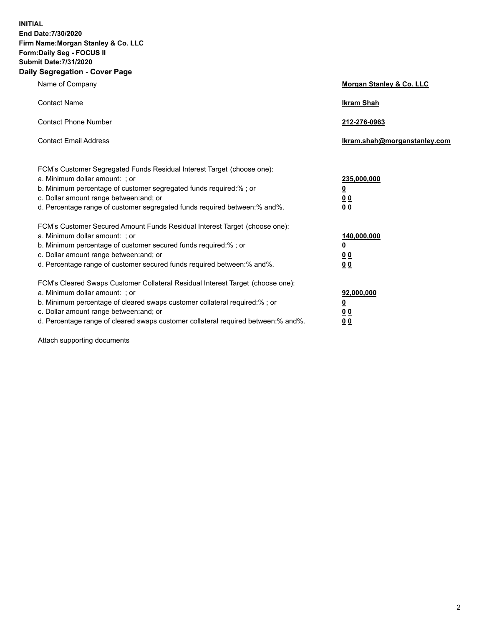**INITIAL End Date:7/30/2020 Firm Name:Morgan Stanley & Co. LLC Form:Daily Seg - FOCUS II Submit Date:7/31/2020 Daily Segregation - Cover Page**

| Name of Company                                                                                                                                                                                                                                                                                                                | <b>Morgan Stanley &amp; Co. LLC</b>                    |
|--------------------------------------------------------------------------------------------------------------------------------------------------------------------------------------------------------------------------------------------------------------------------------------------------------------------------------|--------------------------------------------------------|
| <b>Contact Name</b>                                                                                                                                                                                                                                                                                                            | <b>Ikram Shah</b>                                      |
| <b>Contact Phone Number</b>                                                                                                                                                                                                                                                                                                    | 212-276-0963                                           |
| <b>Contact Email Address</b>                                                                                                                                                                                                                                                                                                   | Ikram.shah@morganstanley.com                           |
| FCM's Customer Segregated Funds Residual Interest Target (choose one):<br>a. Minimum dollar amount: ; or<br>b. Minimum percentage of customer segregated funds required:% ; or<br>c. Dollar amount range between: and; or<br>d. Percentage range of customer segregated funds required between:% and%.                         | 235,000,000<br><u>0</u><br><u>00</u><br>0 Q            |
| FCM's Customer Secured Amount Funds Residual Interest Target (choose one):<br>a. Minimum dollar amount: ; or<br>b. Minimum percentage of customer secured funds required:%; or<br>c. Dollar amount range between: and; or<br>d. Percentage range of customer secured funds required between: % and %.                          | 140,000,000<br><u>0</u><br><u>00</u><br>0 <sub>0</sub> |
| FCM's Cleared Swaps Customer Collateral Residual Interest Target (choose one):<br>a. Minimum dollar amount: ; or<br>b. Minimum percentage of cleared swaps customer collateral required:% ; or<br>c. Dollar amount range between: and; or<br>d. Percentage range of cleared swaps customer collateral required between:% and%. | 92,000,000<br><u>0</u><br><u>00</u><br>0 <sub>0</sub>  |

Attach supporting documents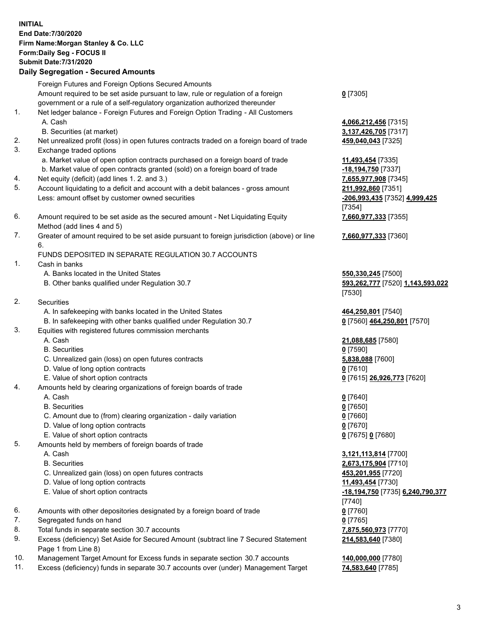## **INITIAL End Date:7/30/2020 Firm Name:Morgan Stanley & Co. LLC Form:Daily Seg - FOCUS II Submit Date:7/31/2020 Daily Segregation - Secured Amounts** Foreign Futures and Foreign Options Secured Amounts Amount required to be set aside pursuant to law, rule or regulation of a foreign government or a rule of a self-regulatory organization authorized thereunder **0** [7305] 1. Net ledger balance - Foreign Futures and Foreign Option Trading - All Customers A. Cash **4,066,212,456** [7315] B. Securities (at market) **3,137,426,705** [7317] 2. Net unrealized profit (loss) in open futures contracts traded on a foreign board of trade **459,040,043** [7325] 3. Exchange traded options a. Market value of open option contracts purchased on a foreign board of trade **11,493,454** [7335] b. Market value of open contracts granted (sold) on a foreign board of trade **-18,194,750** [7337] 4. Net equity (deficit) (add lines 1. 2. and 3.) **7,655,977,908** [7345] 5. Account liquidating to a deficit and account with a debit balances - gross amount **211,992,860** [7351] Less: amount offset by customer owned securities **and the securities**  $\frac{206,993,435}{206,993,435}$  [7352]  $\frac{4,999,425}{206,993,435}$ [7354] 6. Amount required to be set aside as the secured amount - Net Liquidating Equity Method (add lines 4 and 5) **7,660,977,333** [7355] 7. Greater of amount required to be set aside pursuant to foreign jurisdiction (above) or line 6. **7,660,977,333** [7360] FUNDS DEPOSITED IN SEPARATE REGULATION 30.7 ACCOUNTS 1. Cash in banks A. Banks located in the United States **550,330,245** [7500] B. Other banks qualified under Regulation 30.7 **593,262,777** [7520] **1,143,593,022** [7530] 2. Securities A. In safekeeping with banks located in the United States **464,250,801** [7540] B. In safekeeping with other banks qualified under Regulation 30.7 **0** [7560] **464,250,801** [7570] 3. Equities with registered futures commission merchants A. Cash **21,088,685** [7580] B. Securities **0** [7590] C. Unrealized gain (loss) on open futures contracts **5,838,088** [7600] D. Value of long option contracts **0** [7610] E. Value of short option contracts **0** [7615] **26,926,773** [7620] 4. Amounts held by clearing organizations of foreign boards of trade A. Cash **0** [7640] B. Securities **0** [7650] C. Amount due to (from) clearing organization - daily variation **0** [7660] D. Value of long option contracts **0** [7670] E. Value of short option contracts **0** [7675] **0** [7680] 5. Amounts held by members of foreign boards of trade A. Cash **3,121,113,814** [7700] B. Securities **2,673,175,904** [7710] C. Unrealized gain (loss) on open futures contracts **453,201,955** [7720] D. Value of long option contracts **11,493,454** [7730] E. Value of short option contracts **-18,194,750** [7735] **6,240,790,377** [7740] 6. Amounts with other depositories designated by a foreign board of trade **0** [7760] 7. Segregated funds on hand **0** [7765] 8. Total funds in separate section 30.7 accounts **7,875,560,973** [7770] 9. Excess (deficiency) Set Aside for Secured Amount (subtract line 7 Secured Statement Page 1 from Line 8) **214,583,640** [7380]

- 10. Management Target Amount for Excess funds in separate section 30.7 accounts **140,000,000** [7780]
- 11. Excess (deficiency) funds in separate 30.7 accounts over (under) Management Target **74,583,640** [7785]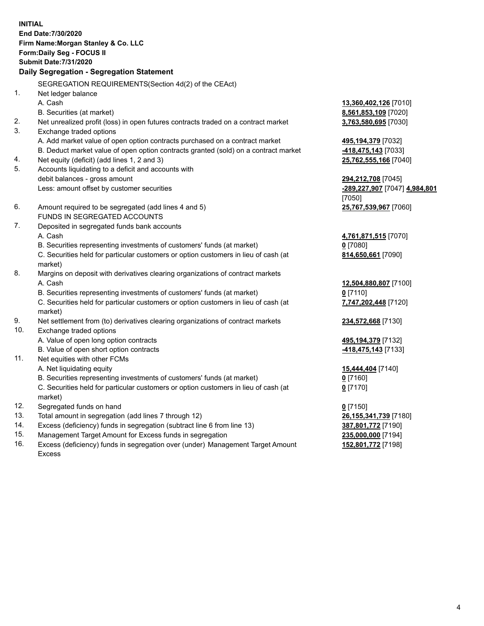**INITIAL End Date:7/30/2020 Firm Name:Morgan Stanley & Co. LLC Form:Daily Seg - FOCUS II Submit Date:7/31/2020 Daily Segregation - Segregation Statement** SEGREGATION REQUIREMENTS(Section 4d(2) of the CEAct) 1. Net ledger balance A. Cash **13,360,402,126** [7010] B. Securities (at market) **8,561,853,109** [7020] 2. Net unrealized profit (loss) in open futures contracts traded on a contract market **3,763,580,695** [7030] 3. Exchange traded options A. Add market value of open option contracts purchased on a contract market **495,194,379** [7032] B. Deduct market value of open option contracts granted (sold) on a contract market **-418,475,143** [7033] 4. Net equity (deficit) (add lines 1, 2 and 3) **25,762,555,166** [7040] 5. Accounts liquidating to a deficit and accounts with debit balances - gross amount **294,212,708** [7045] Less: amount offset by customer securities **-289,227,907** [7047] **4,984,801** [7050] 6. Amount required to be segregated (add lines 4 and 5) **25,767,539,967** [7060] FUNDS IN SEGREGATED ACCOUNTS 7. Deposited in segregated funds bank accounts A. Cash **4,761,871,515** [7070] B. Securities representing investments of customers' funds (at market) **0** [7080] C. Securities held for particular customers or option customers in lieu of cash (at market) **814,650,661** [7090] 8. Margins on deposit with derivatives clearing organizations of contract markets A. Cash **12,504,880,807** [7100] B. Securities representing investments of customers' funds (at market) **0** [7110] C. Securities held for particular customers or option customers in lieu of cash (at market) **7,747,202,448** [7120] 9. Net settlement from (to) derivatives clearing organizations of contract markets **234,572,668** [7130] 10. Exchange traded options A. Value of open long option contracts **495,194,379** [7132] B. Value of open short option contracts **-418,475,143** [7133] 11. Net equities with other FCMs A. Net liquidating equity **15,444,404** [7140] B. Securities representing investments of customers' funds (at market) **0** [7160] C. Securities held for particular customers or option customers in lieu of cash (at market) **0** [7170] 12. Segregated funds on hand **0** [7150] 13. Total amount in segregation (add lines 7 through 12) **26,155,341,739** [7180] 14. Excess (deficiency) funds in segregation (subtract line 6 from line 13) **387,801,772** [7190] 15. Management Target Amount for Excess funds in segregation **235,000,000** [7194]

16. Excess (deficiency) funds in segregation over (under) Management Target Amount Excess

**152,801,772** [7198]